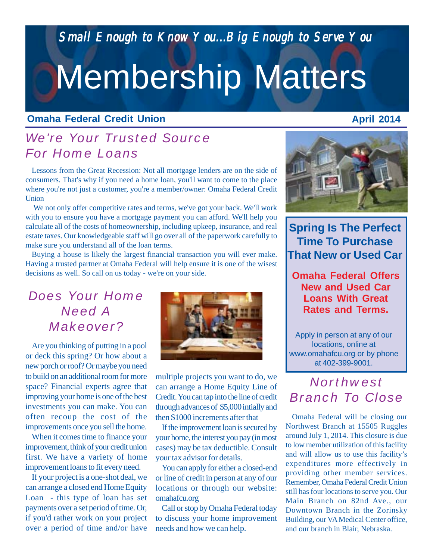*Small Enough to Know You...Big Enough to Serve You Small Enough to Know You...Big Enough to Serve* 

# Membership Matters

#### **Omaha Federal Credit Union**

## *We're Your Trusted Source For Home Loans*

Lessons from the Great Recession: Not all mortgage lenders are on the side of consumers. That's why if you need a home loan, you'll want to come to the place where you're not just a customer, you're a member/owner: Omaha Federal Credit Union

 We not only offer competitive rates and terms, we've got your back. We'll work with you to ensure you have a mortgage payment you can afford. We'll help you calculate all of the costs of homeownership, including upkeep, insurance, and real estate taxes. Our knowledgeable staff will go over all of the paperwork carefully to make sure you understand all of the loan terms.

Buying a house is likely the largest financial transaction you will ever make. Having a trusted partner at Omaha Federal will help ensure it is one of the wisest decisions as well. So call on us today - we're on your side.

## *Does Your Home Need A Makeover?*

Are you thinking of putting in a pool or deck this spring? Or how about a new porch or roof? Or maybe you need to build on an additional room for more space? Financial experts agree that improving your home is one of the best investments you can make. You can often recoup the cost of the improvements once you sell the home.

When it comes time to finance your improvement, think of your credit union first. We have a variety of home improvement loans to fit every need.

If your project is a one-shot deal, we can arrange a closed end Home Equity Loan - this type of loan has set payments over a set period of time. Or, if you'd rather work on your project over a period of time and/or have



multiple projects you want to do, we can arrange a Home Equity Line of Credit. You can tap into the line of credit through advances of \$5,000 intially and then \$1000 increments after that

If the improvement loan is secured by your home, the interest you pay (in most cases) may be tax deductible. Consult your tax advisor for details.

You can apply for either a closed-end or line of credit in person at any of our locations or through our website: omahafcu.org

Call or stop by Omaha Federal today to discuss your home improvement needs and how we can help.



**Spring Is The Perfect Time To Purchase That New or Used Car**

**Omaha Federal Offers New and Used Car Loans With Great Rates and Terms.**

Apply in person at any of our locations, online at www.omahafcu.org or by phone at 402-399-9001.

## *Northwest Branch To Close*

Omaha Federal will be closing our Northwest Branch at 15505 Ruggles around July 1, 2014. This closure is due to low member utilization of this facility and will allow us to use this facility's expenditures more effectively in providing other member services. Remember, Omaha Federal Credit Union still has four locations to serve you. Our Main Branch on 82nd Ave., our Downtown Branch in the Zorinsky Building, our VA Medical Center office, and our branch in Blair, Nebraska.

### **April 2014**